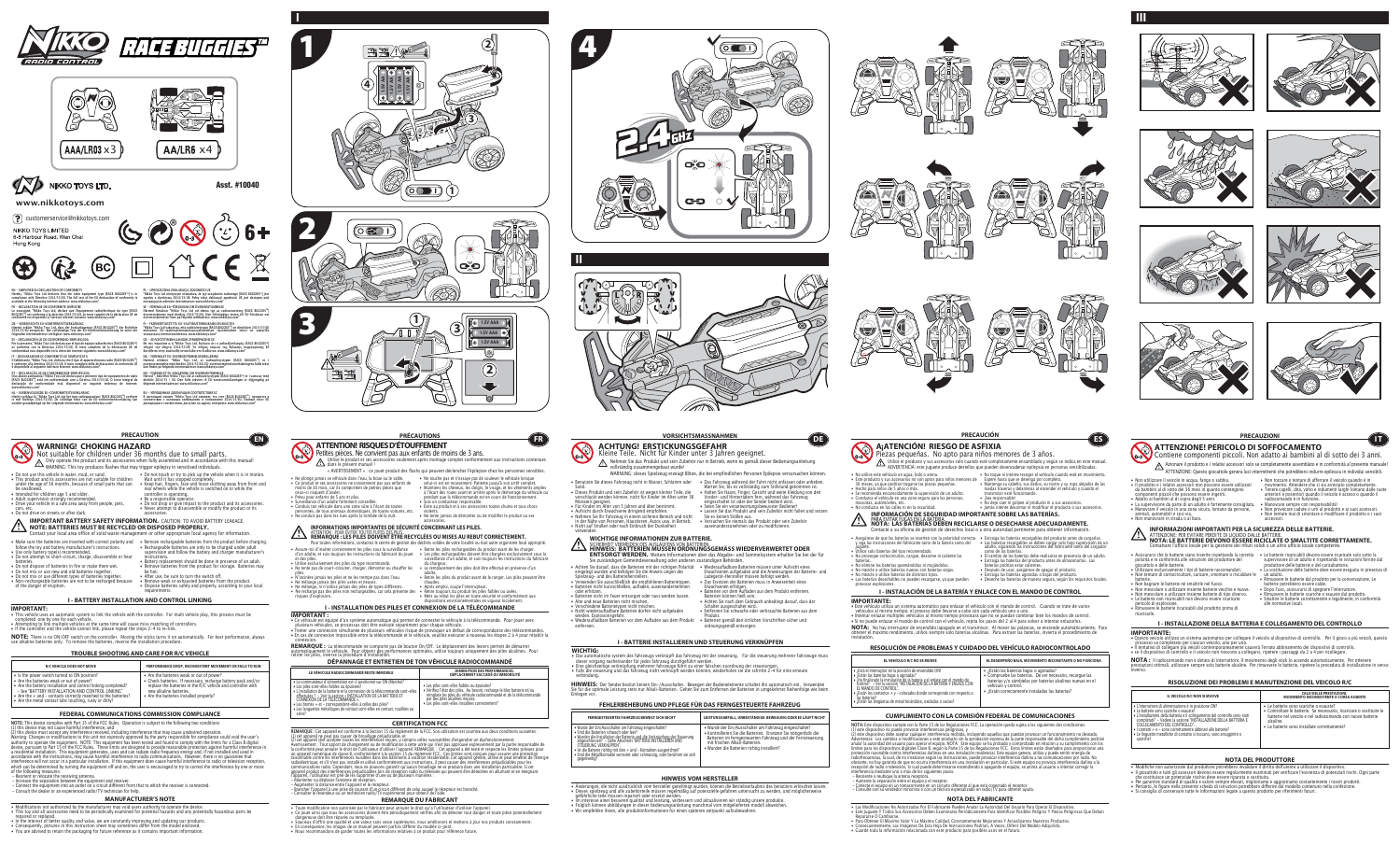• Modifications not authorized by the manufacturer may void users authority to operate the device. • This toy and all accessories need to be periodically examined for potential hazards and any potentially hazardous parts be repaired or replaced.<br>• In the interest of better quality and value, we are constantly improving and updating our products.<br>• Consequently, pictures in this instruction sheet may sometimes differ from the model enclosed.

• You are advised to retain the packaging for future reference as it contains important information.

### **MANUFACTURER'S NOTE**

**REMARQUE DU FABRICANT** • Toute modification non autorisée par le fabricant peut annuler le droit qu'a l'utilisateur d'utiliser l'appareil.<br>• Ce jouet ainsi que tous les accessoires doivent être périodiquement vérifiés afin de détecter tout dange

KEMARQUE : Cet appareil en peut pas caser de brouïllage préjudiciable, et<br>
(1) cet appareil ne peut pas causer de brouïllage préjudiciable, et<br>
(2) cet appareil doit accepter toutes les interférences recues, y compris cell

angereuse doit être réparée ou remplacée.<br>• Soucieux d'offrir une qualité et une valeur sans cesse supérieures, nous améliorons et mettons à jour nos produits constamment.

• En conséquence, les images de ce manuel peuvent parfois différer du modèle ci-joint.<br>• Nous recommandons de garder toutes les informations relatives à ce produit pour référence future.

**IMPORTANTE:** • Lete veniculo utiliza un sistema automatico para enlazar el veniculo con el mando de control. Cuando se trate de varios<br>• L'enficulos al mismo tiempo, el proceso debe llevarse a cabo con cada vehículo uno a uno.<br>• Intent

• SI NO puede enlazar el mando de control con el veniculo, repita los pasos del 2 al 4 para volver a intentar enlazarios.<br>NOTA: No hay interruptor de encendido/apagado en el transmisor. Al mover las palancas, se enciende a

- Questo veicolo utilizza un sistema automatico per collegare il veicolo al dispositivo di controllo. Per il gioco a più veicoli, questo processo va completato per ciascun veicolo, uno per uno. • Il tentativo di collegare più veicoli contemporaneamente causerà l'errato abbinamento dei dispositivi di controllo. • se il dispositivo di controllo e il veicolo non riescono a collegarsi, ripetere i passaggi da 2 a 4 per ricollegare.
- **NOTA :** Il radiocomando non è dotato di interruttore. Il movimento degli stick lo accende automaticamente. Per ottenere<br>prestazioni ottimali, utilizzare sempre solo batterie alcaline. Per rimuovere le batterie, ripetere l



- 
- 

NOTE: This aevice complies with Part 15 of the FCC. Kiues. Operation is subject to the following two conditions:<br>(2) this device must accept any interference received, including interference that may cause undesired operat

- Redirent or relocate the receiving antennal.<br>- Increase the separation between the equipment and receiver.<br>- Connect the equipment into an outlet on a circuit different from that to which the receiver is connected.<br>- Con

- 
- 
- Wurde der Ein/Ausschalter am Fahrzeug eingeschaltet? • Kontrollieren Sie die Batterien. Ersetzen Sie nötigenfalls die Batterien im ferngesteuerten Fahrzeug und der Fernsteuerung mit frischen Alkali-Batterien. • Wurden die Batterien richtig installiert?

























| <b>FERNGESTEUERTES FAHRZEUG BEWEGT SICH NICHT</b>                                                                                                                                                                                                                                                                                                                                                                                       | L |
|-----------------------------------------------------------------------------------------------------------------------------------------------------------------------------------------------------------------------------------------------------------------------------------------------------------------------------------------------------------------------------------------------------------------------------------------|---|
| • Wurde der Ein/Ausschalter am Fahrzeug eingeschaltet?<br>• Sind die Batterien schwach oder leer?<br>· Wurden die Installation der Batterie und die Verknüpfung der Steuerung abgeschlossen? - Siehe Abschnitt "BATTERIE INSTALLIEREN UND<br>STEUERUNG VERKNÜPFEN".<br>• Ist die Batterie richtig mit den + und - Kontakten ausgerichtet?<br>· Sind die Metallkontakte verrostet oder schmutzig, oder berühren sie sich<br>gegenseitig? |   |

# **I - INSTALACIÓN DE LA BATERÍA Y ENLACE CON EL MANDO DE CONTROL**

# **IMPORTANTE:**

# **INFORMAZIONI IMPORTANTI PER LA SICUREZZA DELLE BATTERIE.**  AT LEVIONE: PER EVITARE PERDITE DI LIQUIDO D'ALLE BATTERE.<br>NOTA: LE BATTERIE DEVONO ESSERE RICICLATE O SMALTITE CORRETTAMENTE.<br>Contattare l'ufficio locale per la gestione dei rifiuti solidi o un altro ufficio locale compet

- Modifiche non autorizzate dal produttore potrebbero invalidare il diritto dell'utente a utilizzare il dispositivo. • Il giocattolo e tutti gli accessori devono essere regolarmente esaminati per verificare l'esistenza di potenziali rischi. Ogni parte
- Construiste un potenziale rischio deve essere riparata o sostituita.<br>• Per garantire standard di qualità e valore sempre elevati, miglioriamo e aggiorniamo costantemente i nostri prodotti.<br>• Pertanto, le figure nella prese
- 
- 

### **HINWEIS VOM HERSTELLER**

• Anderungen, die nicht ausdrücklich vom nersteller genehmigt wurden, konnen die Betriebserlaubnis des behutzers erlöschen lassen.<br>• Dieses spielzeug und alle zubehörteile müssen regelmäßig auf potenzielle gefahren untersu geranfliche teile mussen repariert oder ersetzt werden.<br>• Im interesse einer besseren qualität und leistung, serbessern und aktualisieren wir ständig unsere produkte.<br>• Folglich können abbildungen in dieser bedienungsanlei

- 
- 
- 

- 
- 
- 
- 
- 

| EL VEHÍCULO R/C NO SE MUEVE                                                                                                                                                                                                                                                                                                                                                                                                              | EL DESEMPEÑO BAJA, MOVIMIENTO INCONSTANTE O                                                                                                                                                                               |
|------------------------------------------------------------------------------------------------------------------------------------------------------------------------------------------------------------------------------------------------------------------------------------------------------------------------------------------------------------------------------------------------------------------------------------------|---------------------------------------------------------------------------------------------------------------------------------------------------------------------------------------------------------------------------|
| · ¿Está el interruptor en la posición de encendido ON?<br>• ¿Están las baterías bajas o agotadas?<br>• Ha finalizado la instalación de la batería y el enlace con el mando de<br>control? – Ver la sección "INSTALACIÓN DE LA BATERIA Y ENLACE CON<br>EL MANDO DE CONTROL".<br>· ¿Están los contactos + y - colocados donde corresponde con respecto a<br>las baterías?<br>· ¿Están las lengüetas de metal tocándose, oxidadas o sucias? | • ¿Están las baterías bajas o agotadas?<br>· Compruebe las baterías. De ser necesario, reca<br>baterías y/o cámbielas por baterías alcalinas nu<br>vehículo y control.<br>• ¿Están correctamente instaladas las baterías? |

| EL VEHÍCULO R/C NO SE MUEVE                                                                                                                                                                                                                                                                                                                                             | EL DESEMPEÑO BAJA, MOVIMIENTO INCONSTANTE O NO FUNCIONA                                                                                                                                                                                     |
|-------------------------------------------------------------------------------------------------------------------------------------------------------------------------------------------------------------------------------------------------------------------------------------------------------------------------------------------------------------------------|---------------------------------------------------------------------------------------------------------------------------------------------------------------------------------------------------------------------------------------------|
| interruptor en la posición de encendido ON?<br>las baterías bajas o agotadas?<br>alizado la instalación de la batería v el enlace con el mando de<br>? – Ver la sección "INSTALACIÓN DE LA BATERÍA Y ENLACE CON<br>IDO DE CONTROL".<br>los contactos + y - colocados donde corresponde con respecto a<br>erías?<br>las lengüetas de metal tocándose, oxidadas o sucias? | • ¿Están las baterías bajas o agotadas?<br>• Compruebe las baterías. De ser necesario, recarque las<br>baterías y/o cámbielas por baterías alcalinas nuevas en el<br>vehículo y control.<br>• ¿Están correctamente instaladas las baterías? |

# **CUMPLIMIENTO CON LA COMISIÓN FEDERAL DE COMUNICACIONES**

NOI At isste dispositivo comple con la Parte 15 de las regulaciones F-U. La operacion queda sujeta a las siguientes dos condiciones:<br>
(2) este dispositivo no puede provocar interferencia religiosas, y<br>
(2) este dispositivo

• Las Modificaciones No Autorizadas Por El Fabricante Pueden Anular La Autoridad Del Usuario Para Operar El Dispositivo.<br>• Este Juguete Y Todos Sus Accesorios Deben Examinarse Periódicamente Para Identificar Posibles Pelig

- 
- kepararse O Carmonarse.<br>• Para Obtener El Máximo Valor Y La Máxima Calidad, Constantemente Mejoramos Y Actualizamos Nuestros Productos.<br>• Consecuentemente, Las Imágenes De Esta Hoja De Instrucciones Podrían, A Veces, Di
- 
- Extragia las baterias recargables se deben cargar solo bajo supervisión de un<br>adulto, siguiendo las instrucciones del fabricante tanto del cargador<br>adulto, siguiendo las instrucciones del fabricante tanto del cargador<br>co
- 
- 

# **NOTA DEL FABRICANTE**

instalación.

# **RESOLUCIÓN DE PROBLEMAS Y CUIDADO DEL VEHÍCULO RADIOCONTROLADO**

**ES**

**A¡ATENCIÓN! RIESGO DE ASFIXIA** 

Piezas pequeñas. No apto para niños menores de 3 años.

**PRECAUCIÓN**

- Neguela de que la badeira se inseriento de la badeira come del posteriores del fabricante tanto de la batería como del<br>• Utilice solo baterías del tipo recomendado.<br>• No provoque cortocircuitos, cargue, desarme ni calien
- 
- 

- 
- 



| IL VEICOLO R/C NON SI MUOVE                                                                                                                                                                                                                                                                                                                                                                                                         | <b>CALO DELLE PRESTAZIONI,</b><br><b>MOVIMENTO INCONSISTENTE O CORSA ASSENTE</b>                                                                                                                                                          |
|-------------------------------------------------------------------------------------------------------------------------------------------------------------------------------------------------------------------------------------------------------------------------------------------------------------------------------------------------------------------------------------------------------------------------------------|-------------------------------------------------------------------------------------------------------------------------------------------------------------------------------------------------------------------------------------------|
| • L'interruttore di alimentazione è in posizione ON?<br>• Le batterie sono scariche o esauste?<br>· L'installazione della batteria e il collegamento del controllo sono stati<br>completati? - Vedere la sezione "INSTALLAZIONE DELLA BATTERIA E<br>COLLEGAMENTO DEL CONTROLLO".<br>• Contatti + e - sono correttamente abbinati alle batterie?<br>• Le linguette metalliche di contatto si toccano, sono arrugginite o<br>sporche? | • Le batterie sono scariche o esauste?<br>• Controllare le batterie. Se necessario, ricaricare o sostituire le<br>batterie nel veicolo e nel radiocomando con nuove batterie<br>alcaline.<br>• Le batterie sono installate correttamente? |

• Guarde toda la información relacionada con este producto para posibles usos en el futuro.

Utilice el producto y sus accesorios solo cuando esté completamente ensamblado y según se indica en este manual. ADVERTENCIA: este juguete produce destellos que pueden desencadenar epilepsia en personas sensibilizadas.

# PARA EVITAR FUGAS EN LA BATERÍA.<br>**NOTA: LAS BATERÍAS DEBEN RECICLARSE O DESECHARSE ADECUADAMENTE.**<br>Contacte a su oficina de gestión de desechos local o a otra autoridad pertinente para obtener información.

- 
- 

### **RISOLUZIONE DEI PROBLEMI E MANUTENZIONE DEL VEICOLO R/C**

### **PRECAUZIONI**

• Non manovrare in strada o al buio.

 anteriori e posteriori quando il veicolo è acceso o quando il radiocomando è in funzione. • Manovrare sempre con responsabilità! • Non provocare cadute o urti al prodotto e ai suoi accessori. • Non tentare mai di smontare o modificare il prodotto o i suoi accessori.

- 
- Assicurarsi che le batterie siano inserite rispettando la corretta polarità e in conformità alle istruzioni del produttore del giocattolo e delle batterie. Utilizzare esclusivamente i tipi di batterie raccomandati.
- 
- Non tentare di cortocircuitare, caricare, smontare o riscaldare le un adulto.
- batterie.<br>• Non bagnare le batterie né smaltirle nel fuoco.
- Non bagnare le batterie de smattrie nei fuoco.<br>• Non mescolare o utilizzare insieme batterie vecchie e nuove.<br>• Non mescolare o utilizzare insieme batterie di tipo diverso.<br>• Le batterie non ricaricabili non devono esser
- 
- pericolo di esplosione. Rimuovere le batterie ricaricabili dal prodotto prima di
- ricaricarle.

• Le batterie ricaricabili devono essere ricaricate solo sotto la supervisione di un adulto e rispettando le istruzioni fornite dal

produttore delle batterie e del caricabatterie.

• La sostituzione delle batterie deve essere eseguita in presenza di

• Minuovere le batterie dal prodotto per la conservazione. Le<br>• Dopo l'uso, assicurarsi di spegnere l'interruttore.<br>• Dopo l'uso, assicurarsi di spegnere l'interruttore.<br>• Simaltire le batterie correttamente e legalmente,

- Non utilizzare il veicolo in acqua, fango o sabbia. Il prodotto e i relativi accessori non possono essere utilizzati da bambini al di sotto dei 36 mesi in quanto contengono componenti piccoli che possono essere ingenti.<br>• Adatto ai bambini al di sopra degli 5 anni.<br>• La supervisione da parte di un adulto è fortemente consigliata.<br>• Manovrare il veicolo in una zona sicura, lontano da persone,<br>
- Non toccare o tentare di afferrare il veicolo quando è in movimento. Attendere che si sia arrestato completamente. Tenere capelli, dita, volto e indumenti larghi lontano dalle ruote ATTENZIONE: Questo giocattolo genera luci intermittenti che potrebbero indurre epilessia in individui sensibili.

### **NOTA DEL PRODUTTORE**

# **ATTENZIONE! PERICOLO DI SOFFOCAMENTO**

Contiene componenti piccoli. Non adatto ai bambini al di sotto dei 3 anni. Azionare il prodotto e i relativi accessori solo se completamente assemblato e in conformità al presente manuale!

**IT**